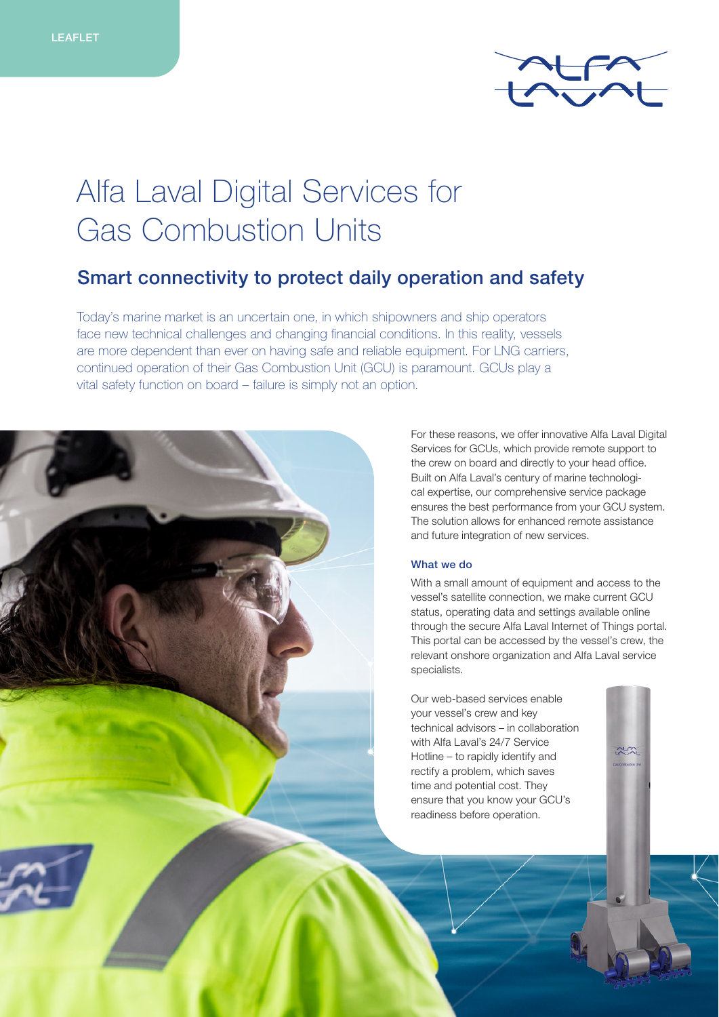

# Alfa Laval Digital Services for Gas Combustion Units

# Smart connectivity to protect daily operation and safety

Today's marine market is an uncertain one, in which shipowners and ship operators face new technical challenges and changing financial conditions. In this reality, vessels are more dependent than ever on having safe and reliable equipment. For LNG carriers, continued operation of their Gas Combustion Unit (GCU) is paramount. GCUs play a vital safety function on board – failure is simply not an option.

> For these reasons, we offer innovative Alfa Laval Digital Services for GCUs, which provide remote support to the crew on board and directly to your head office. Built on Alfa Laval's century of marine technological expertise, our comprehensive service package ensures the best performance from your GCU system. The solution allows for enhanced remote assistance and future integration of new services.

# What we do

With a small amount of equipment and access to the vessel's satellite connection, we make current GCU status, operating data and settings available online through the secure Alfa Laval Internet of Things portal. This portal can be accessed by the vessel's crew, the relevant onshore organization and Alfa Laval service specialists.

Our web-based services enable your vessel's crew and key technical advisors – in collaboration with Alfa Laval's 24/7 Service Hotline – to rapidly identify and rectify a problem, which saves time and potential cost. They ensure that you know your GCU's readiness before operation.